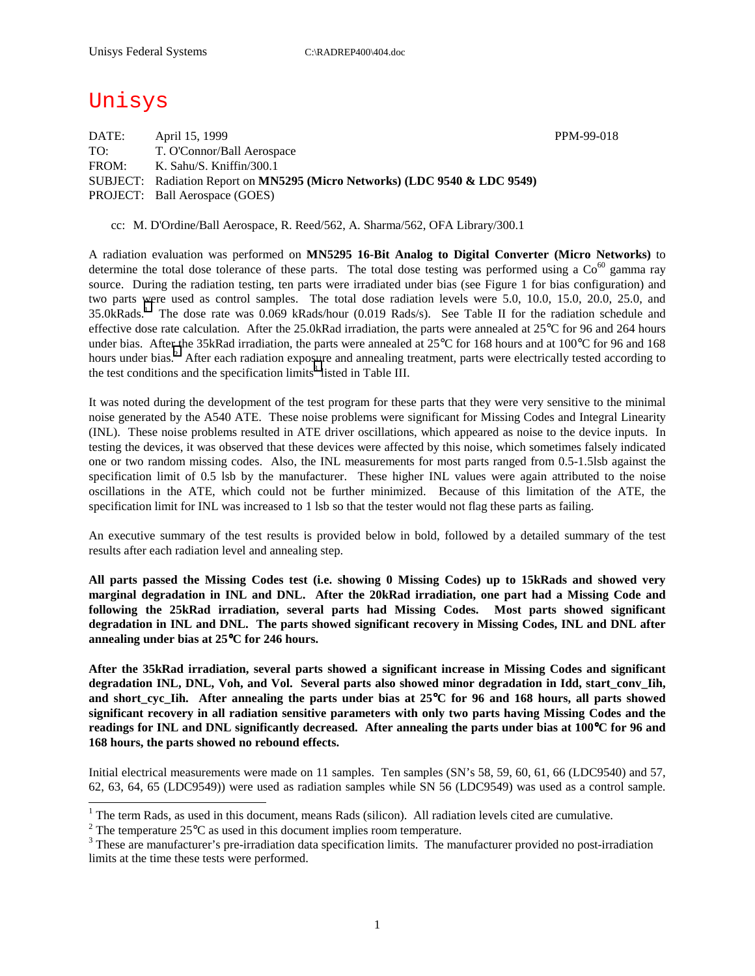# Unisys

| PPM-99-018 |
|------------|
|            |
|            |
|            |
|            |
|            |

cc: M. D'Ordine/Ball Aerospace, R. Reed/562, A. Sharma/562, OFA Library/300.1

A radiation evaluation was performed on **MN5295 16-Bit Analog to Digital Converter (Micro Networks)** to determine the total dose tolerance of these parts. The total dose testing was performed using a  $\text{Co}^{60}$  gamma ray source. During the radiation testing, ten parts were irradiated under bias (see Figure 1 for bias configuration) and two parts were used as control samples. The total dose radiation levels were 5.0, 10.0, 15.0, 20.0, 25.0, and 35.0kRads.<sup>1</sup> The dose rate was 0.069 kRads/hour (0.019 Rads/s). See Table II for the radiation schedule and effective dose rate calculation. After the 25.0kRad irradiation, the parts were annealed at 25°C for 96 and 264 hours under bias. After the 35kRad irradiation, the parts were annealed at 25°C for 168 hours and at 100°C for 96 and 168 hours under bias.<sup>2</sup> After each radiation exposure and annealing treatment, parts were electrically tested according to the test conditions and the specification limits<sup>3</sup> listed in Table III.

It was noted during the development of the test program for these parts that they were very sensitive to the minimal noise generated by the A540 ATE. These noise problems were significant for Missing Codes and Integral Linearity (INL). These noise problems resulted in ATE driver oscillations, which appeared as noise to the device inputs. In testing the devices, it was observed that these devices were affected by this noise, which sometimes falsely indicated one or two random missing codes. Also, the INL measurements for most parts ranged from 0.5-1.5lsb against the specification limit of 0.5 lsb by the manufacturer. These higher INL values were again attributed to the noise oscillations in the ATE, which could not be further minimized. Because of this limitation of the ATE, the specification limit for INL was increased to 1 lsb so that the tester would not flag these parts as failing.

An executive summary of the test results is provided below in bold, followed by a detailed summary of the test results after each radiation level and annealing step.

**All parts passed the Missing Codes test (i.e. showing 0 Missing Codes) up to 15kRads and showed very marginal degradation in INL and DNL. After the 20kRad irradiation, one part had a Missing Code and following the 25kRad irradiation, several parts had Missing Codes. Most parts showed significant degradation in INL and DNL. The parts showed significant recovery in Missing Codes, INL and DNL after annealing under bias at 25**°**C for 246 hours.** 

**After the 35kRad irradiation, several parts showed a significant increase in Missing Codes and significant**  degradation INL, DNL, Voh, and Vol. Several parts also showed minor degradation in Idd, start conv<sub>Iih</sub>, **and short\_cyc\_Iih. After annealing the parts under bias at 25**°**C for 96 and 168 hours, all parts showed significant recovery in all radiation sensitive parameters with only two parts having Missing Codes and the readings for INL and DNL significantly decreased. After annealing the parts under bias at 100**°**C for 96 and 168 hours, the parts showed no rebound effects.** 

Initial electrical measurements were made on 11 samples. Ten samples (SN's 58, 59, 60, 61, 66 (LDC9540) and 57, 62, 63, 64, 65 (LDC9549)) were used as radiation samples while SN 56 (LDC9549) was used as a control sample.

<sup>&</sup>lt;sup>1</sup> The term Rads, as used in this document, means Rads (silicon). All radiation levels cited are cumulative.

<sup>&</sup>lt;sup>2</sup> The temperature 25 $^{\circ}$ C as used in this document implies room temperature.  $^3$  These are manufacturer's are irrediction date apositionism limits. The manufacturer's

<sup>&</sup>lt;sup>3</sup> These are manufacturer's pre-irradiation data specification limits. The manufacturer provided no post-irradiation limits at the time these tests were performed.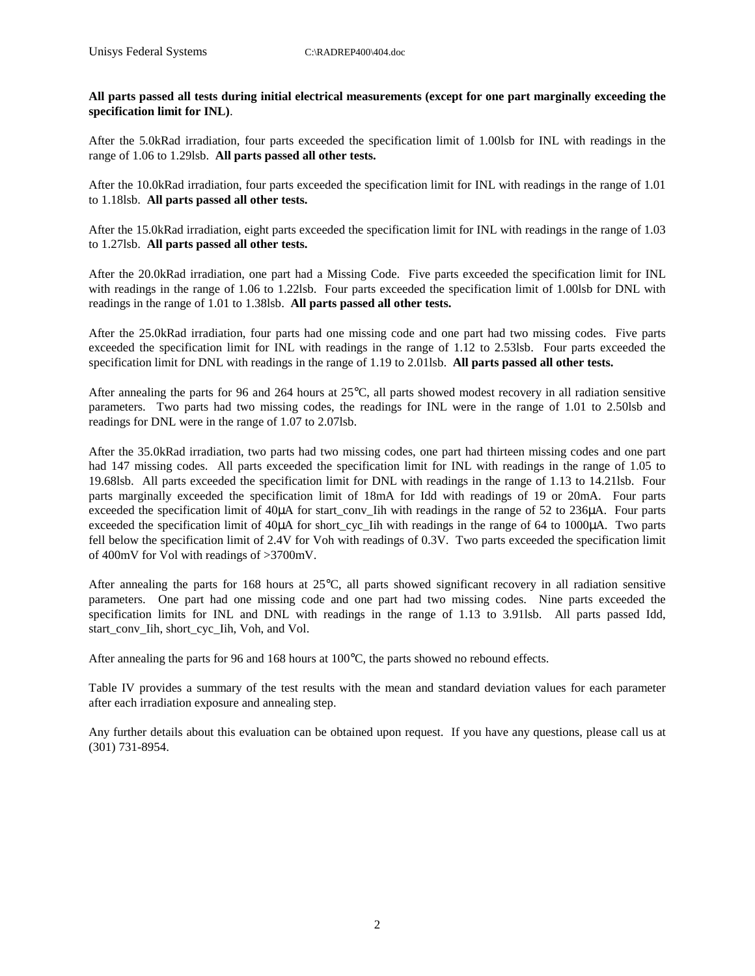**All parts passed all tests during initial electrical measurements (except for one part marginally exceeding the specification limit for INL)**.

After the 5.0kRad irradiation, four parts exceeded the specification limit of 1.00lsb for INL with readings in the range of 1.06 to 1.29lsb. **All parts passed all other tests.** 

After the 10.0kRad irradiation, four parts exceeded the specification limit for INL with readings in the range of 1.01 to 1.18lsb. **All parts passed all other tests.** 

After the 15.0kRad irradiation, eight parts exceeded the specification limit for INL with readings in the range of 1.03 to 1.27lsb. **All parts passed all other tests.** 

After the 20.0kRad irradiation, one part had a Missing Code. Five parts exceeded the specification limit for INL with readings in the range of 1.06 to 1.22lsb. Four parts exceeded the specification limit of 1.00lsb for DNL with readings in the range of 1.01 to 1.38lsb. **All parts passed all other tests.** 

After the 25.0kRad irradiation, four parts had one missing code and one part had two missing codes. Five parts exceeded the specification limit for INL with readings in the range of 1.12 to 2.53lsb. Four parts exceeded the specification limit for DNL with readings in the range of 1.19 to 2.01lsb. **All parts passed all other tests.** 

After annealing the parts for 96 and 264 hours at 25°C, all parts showed modest recovery in all radiation sensitive parameters. Two parts had two missing codes, the readings for INL were in the range of 1.01 to 2.50lsb and readings for DNL were in the range of 1.07 to 2.07lsb.

After the 35.0kRad irradiation, two parts had two missing codes, one part had thirteen missing codes and one part had 147 missing codes. All parts exceeded the specification limit for INL with readings in the range of 1.05 to 19.68lsb. All parts exceeded the specification limit for DNL with readings in the range of 1.13 to 14.21lsb. Four parts marginally exceeded the specification limit of 18mA for Idd with readings of 19 or 20mA. Four parts exceeded the specification limit of 40µA for start conv Iih with readings in the range of 52 to 236µA. Four parts exceeded the specification limit of 40µA for short cyc Iih with readings in the range of 64 to 1000µA. Two parts fell below the specification limit of 2.4V for Voh with readings of 0.3V. Two parts exceeded the specification limit of 400mV for Vol with readings of >3700mV.

After annealing the parts for 168 hours at  $25^{\circ}$ C, all parts showed significant recovery in all radiation sensitive parameters. One part had one missing code and one part had two missing codes. Nine parts exceeded the specification limits for INL and DNL with readings in the range of 1.13 to 3.91lsb. All parts passed Idd, start\_conv\_Iih, short\_cyc\_Iih, Voh, and Vol.

After annealing the parts for 96 and 168 hours at 100°C, the parts showed no rebound effects.

Table IV provides a summary of the test results with the mean and standard deviation values for each parameter after each irradiation exposure and annealing step.

Any further details about this evaluation can be obtained upon request. If you have any questions, please call us at (301) 731-8954.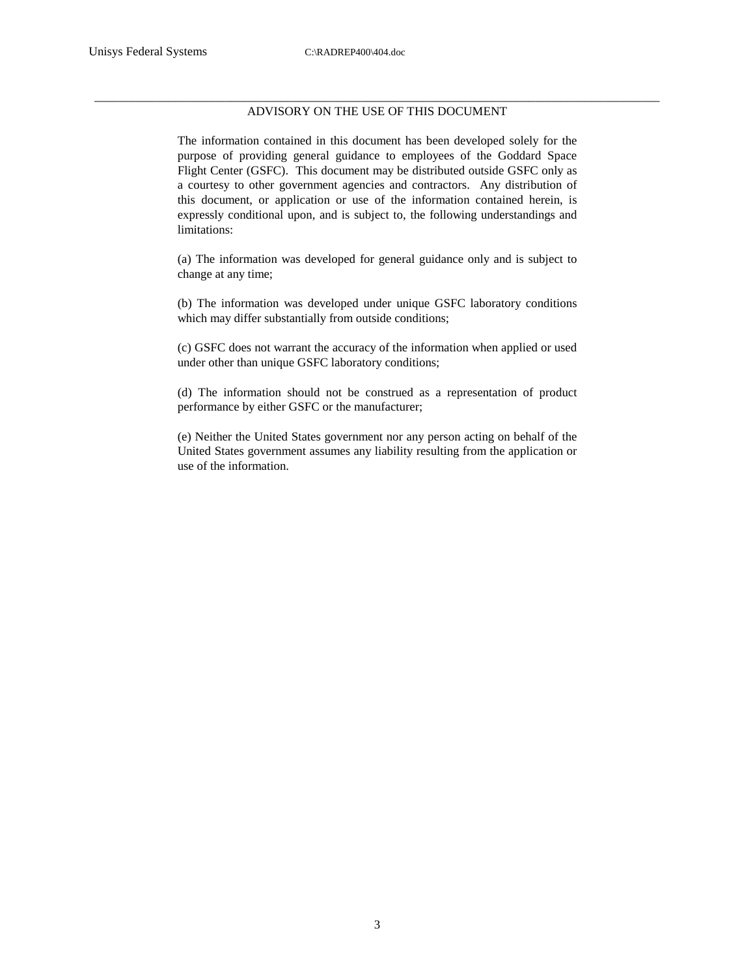#### \_\_\_\_\_\_\_\_\_\_\_\_\_\_\_\_\_\_\_\_\_\_\_\_\_\_\_\_\_\_\_\_\_\_\_\_\_\_\_\_\_\_\_\_\_\_\_\_\_\_\_\_\_\_\_\_\_\_\_\_\_\_\_\_\_\_\_\_\_\_\_\_\_\_\_\_\_\_\_\_\_\_\_\_\_\_\_\_\_\_\_ ADVISORY ON THE USE OF THIS DOCUMENT

The information contained in this document has been developed solely for the purpose of providing general guidance to employees of the Goddard Space Flight Center (GSFC). This document may be distributed outside GSFC only as a courtesy to other government agencies and contractors. Any distribution of this document, or application or use of the information contained herein, is expressly conditional upon, and is subject to, the following understandings and limitations:

(a) The information was developed for general guidance only and is subject to change at any time;

(b) The information was developed under unique GSFC laboratory conditions which may differ substantially from outside conditions;

(c) GSFC does not warrant the accuracy of the information when applied or used under other than unique GSFC laboratory conditions;

(d) The information should not be construed as a representation of product performance by either GSFC or the manufacturer;

(e) Neither the United States government nor any person acting on behalf of the United States government assumes any liability resulting from the application or use of the information.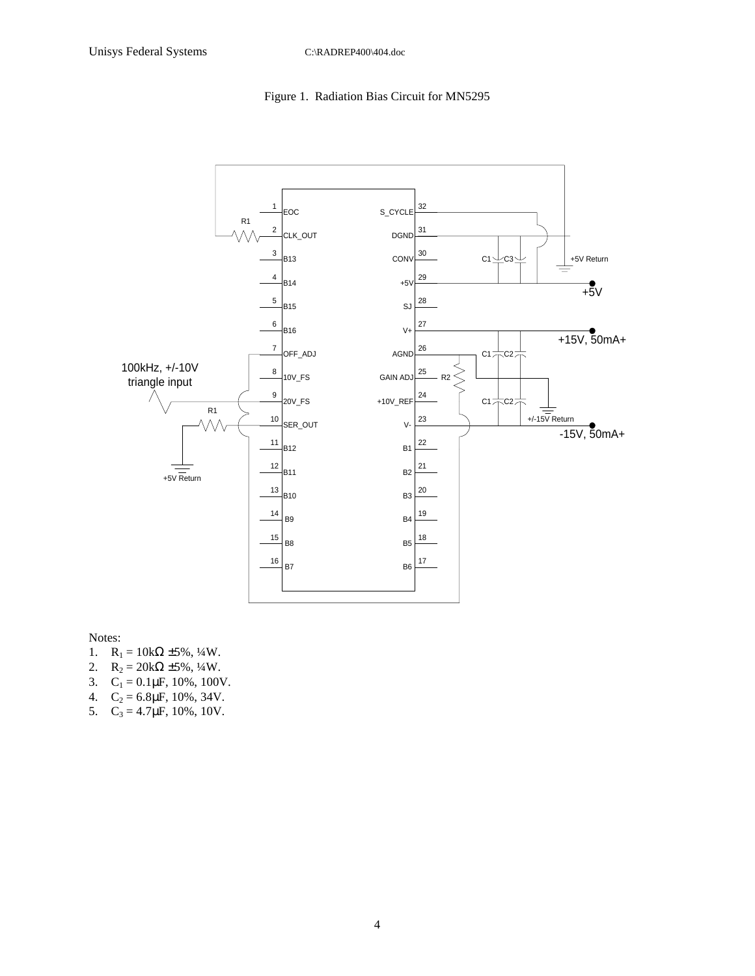### Figure 1. Radiation Bias Circuit for MN5295



Notes:

- 1.  $R_1 = 10k\Omega \pm 5\%, \frac{1}{4}W$ .
- 2.  $R_2 = 20k\Omega \pm 5\%, \frac{1}{4}W$ .
- 3.  $C_1 = 0.1 \mu F$ , 10%, 100V.
- 4.  $C_2 = 6.8 \mu F$ , 10%, 34V.
- 5.  $C_3 = 4.7 \mu F$ , 10%, 10V.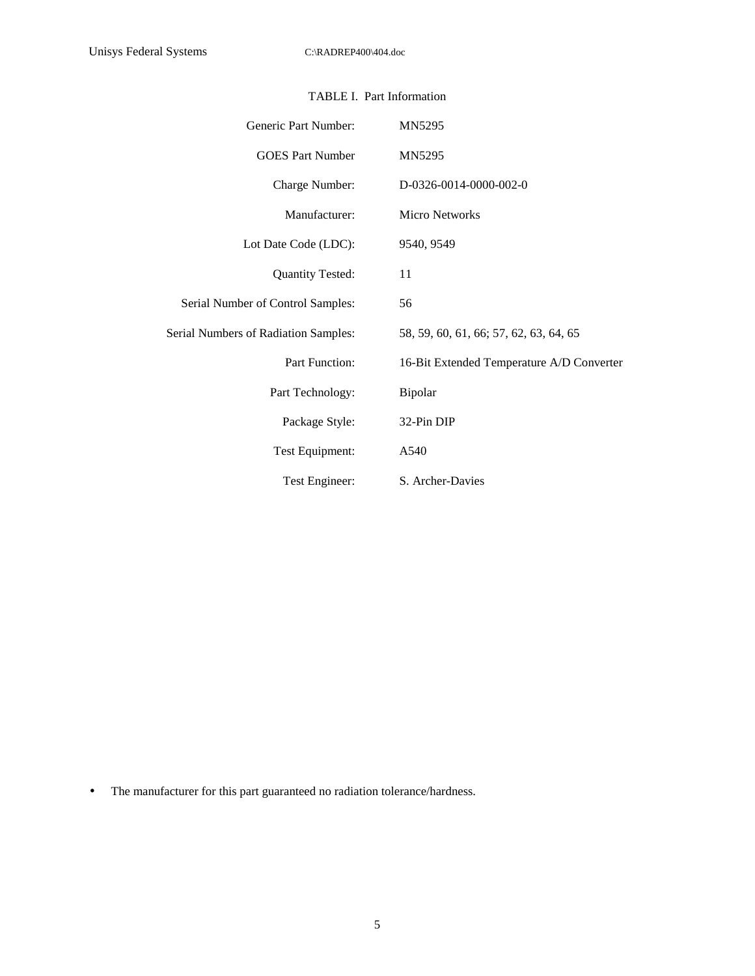| Generic Part Number:                 | MN5295                                    |
|--------------------------------------|-------------------------------------------|
| <b>GOES</b> Part Number              | MN5295                                    |
| Charge Number:                       | D-0326-0014-0000-002-0                    |
| Manufacturer:                        | <b>Micro Networks</b>                     |
| Lot Date Code (LDC):                 | 9540, 9549                                |
| <b>Quantity Tested:</b>              | 11                                        |
| Serial Number of Control Samples:    | 56                                        |
| Serial Numbers of Radiation Samples: | 58, 59, 60, 61, 66; 57, 62, 63, 64, 65    |
| Part Function:                       | 16-Bit Extended Temperature A/D Converter |
| Part Technology:                     | Bipolar                                   |
| Package Style:                       | 32-Pin DIP                                |
| Test Equipment:                      | A540                                      |
| Test Engineer:                       | S. Archer-Davies                          |

## TABLE I. Part Information

• The manufacturer for this part guaranteed no radiation tolerance/hardness.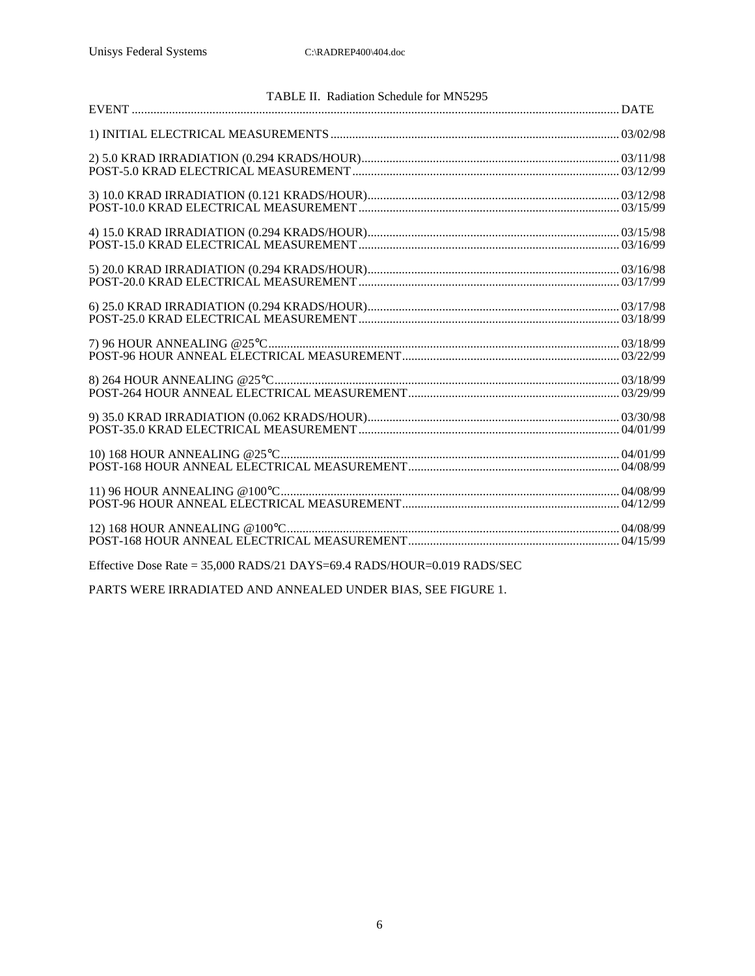| TABLE II. Radiation Schedule for MN5295                                   |  |
|---------------------------------------------------------------------------|--|
|                                                                           |  |
|                                                                           |  |
|                                                                           |  |
|                                                                           |  |
|                                                                           |  |
|                                                                           |  |
|                                                                           |  |
|                                                                           |  |
|                                                                           |  |
|                                                                           |  |
|                                                                           |  |
|                                                                           |  |
|                                                                           |  |
| Effective Dose Rate = $35,000$ RADS/21 DAYS=69.4 RADS/HOUR=0.019 RADS/SEC |  |

PARTS WERE IRRADIATED AND ANNEALED UNDER BIAS, SEE FIGURE 1.

6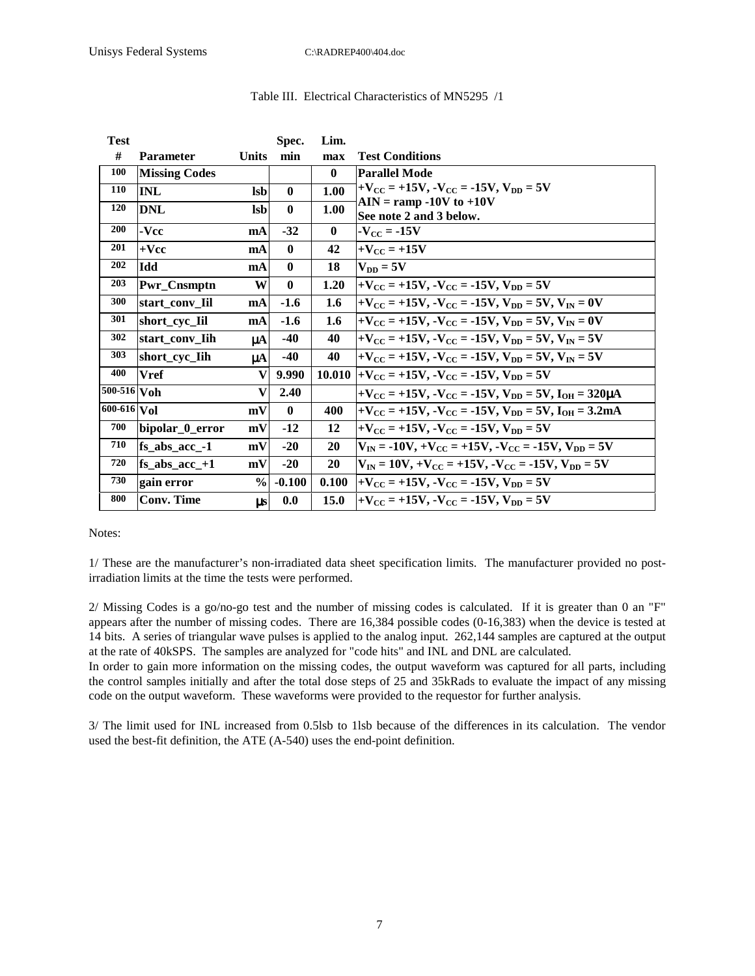| <b>Test</b>               |                      |               | Spec.        | Lim.     |                                                                                                                                      |
|---------------------------|----------------------|---------------|--------------|----------|--------------------------------------------------------------------------------------------------------------------------------------|
| #                         | <b>Parameter</b>     | Units         | min          | max      | <b>Test Conditions</b>                                                                                                               |
| 100                       | <b>Missing Codes</b> |               |              | $\bf{0}$ | <b>Parallel Mode</b>                                                                                                                 |
| 110                       | <b>INL</b>           | <b>lsb</b>    | $\mathbf{0}$ | 1.00     | $+V_{\text{CC}} = +15V, -V_{\text{CC}} = -15V, V_{\text{DD}} = 5V$                                                                   |
| <b>120</b>                | <b>DNL</b>           | <b>lsb</b>    | $\mathbf{0}$ | 1.00     | $\mathbf{AIN} = \mathbf{ramp} - 10V \mathbf{to} + 10V$<br>See note 2 and 3 below.                                                    |
| 200                       | -Vcc                 | mA            | $-32$        | $\bf{0}$ | $-V_{\text{CC}} = -15V$                                                                                                              |
| 201                       | $+{\bf Vec}$         | mA            | $\mathbf{0}$ | 42       | $+V_{\text{CC}} = +15V$                                                                                                              |
| 202                       | Idd                  | mA            | $\mathbf{0}$ | 18       | $V_{DD} = 5V$                                                                                                                        |
| 203                       | Pwr_Cnsmptn          | W             | $\mathbf{0}$ | 1.20     | $+V_{CC}$ = +15V, $-V_{CC}$ = -15V, $V_{DD}$ = 5V                                                                                    |
| 300                       | start_conv_Iil       | mA            | $-1.6$       | 1.6      | $+V_{\text{CC}} = +15V, -V_{\text{CC}} = -15V, V_{\text{DD}} = 5V, V_{\text{IN}} = 0V$                                               |
| 301                       | short_cyc_Iil        | mA            | $-1.6$       | 1.6      | $+V_{CC}$ = +15V, $-V_{CC}$ = -15V, $V_{DD}$ = 5V, $V_{IN}$ = 0V                                                                     |
| 302                       | start conv Iih       | μA            | $-40$        | 40       | $+V_{CC}$ = +15V, $-V_{CC}$ = -15V, $V_{DD}$ = 5V, $V_{IN}$ = 5V                                                                     |
| 303                       | short_cyc_Iih        | $\mu$ A       | $-40$        | 40       | $+V_{CC}$ = +15V, $-V_{CC}$ = -15V, $V_{DD}$ = 5V, $V_{IN}$ = 5V                                                                     |
| 400                       | <b>Vref</b>          | V             | 9.990        | 10.010   | $+V_{CC}$ = +15V, $-V_{CC}$ = -15V, $V_{DD}$ = 5V                                                                                    |
| $\overline{500}$ -516 Voh |                      | $\bf{V}$      | 2.40         |          | $+V_{\text{CC}} = +15V, -V_{\text{CC}} = -15V, V_{\text{DD}} = 5V, I_{\text{OH}} = 320 \mu\text{A}$                                  |
| 600-616 Vol               |                      | mV            | $\mathbf{0}$ | 400      | $+V_{\text{CC}} = +15V, -V_{\text{CC}} = -15V, V_{\text{DD}} = 5V, I_{\text{OH}} = 3.2 \text{mA}$                                    |
| 700                       | bipolar_0_error      | mV            | $-12$        | 12       | $+V_{\text{CC}} = +15V, -V_{\text{CC}} = -15V, V_{\text{DD}} = 5V$                                                                   |
| 710                       | $fs_abs_acc_$ -1     | mV            | $-20$        | 20       | $V_{IN} = -10V, +V_{CC} = +15V, -V_{CC} = -15V, V_{DD} = 5V$                                                                         |
| 720                       | $fs\_abs\_acc\_+1$   | mV            | $-20$        | 20       | $V_{\text{IN}} = 10V_{\text{R}} + V_{\text{CC}} = +15V_{\text{R}} - V_{\text{CC}} = -15V_{\text{R}}$ $V_{\text{DD}} = 5V_{\text{R}}$ |
| 730                       | gain error           | $\frac{6}{9}$ | $-0.100$     | 0.100    | $+V_{CC}$ = +15V, $-V_{CC}$ = -15V, $V_{DD}$ = 5V                                                                                    |
| 800                       | <b>Conv. Time</b>    | $\mu s$       | 0.0          | 15.0     | $+V_{CC}$ = +15V, $-V_{CC}$ = -15V, $V_{DD}$ = 5V                                                                                    |

#### Table III. Electrical Characteristics of MN5295 /1

Notes:

1/ These are the manufacturer's non-irradiated data sheet specification limits. The manufacturer provided no postirradiation limits at the time the tests were performed.

2/ Missing Codes is a go/no-go test and the number of missing codes is calculated. If it is greater than 0 an "F" appears after the number of missing codes. There are 16,384 possible codes (0-16,383) when the device is tested at 14 bits. A series of triangular wave pulses is applied to the analog input. 262,144 samples are captured at the output at the rate of 40kSPS. The samples are analyzed for "code hits" and INL and DNL are calculated.

In order to gain more information on the missing codes, the output waveform was captured for all parts, including the control samples initially and after the total dose steps of 25 and 35kRads to evaluate the impact of any missing code on the output waveform. These waveforms were provided to the requestor for further analysis.

3/ The limit used for INL increased from 0.5lsb to 1lsb because of the differences in its calculation. The vendor used the best-fit definition, the ATE (A-540) uses the end-point definition.